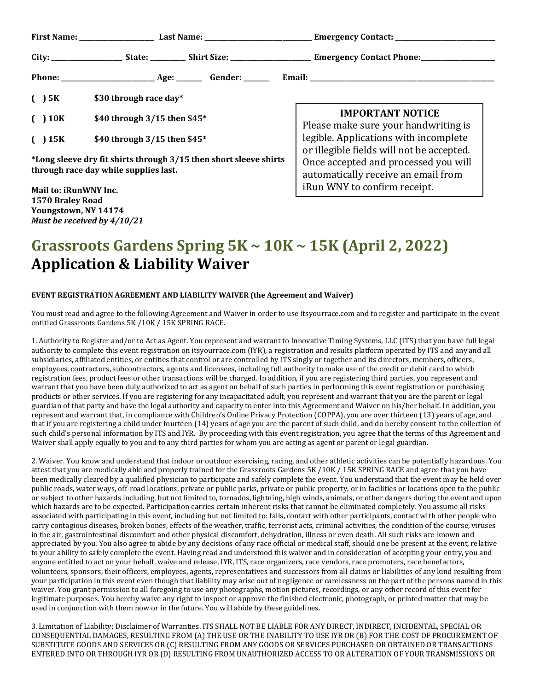| ( ) 5K                                                                                                     | \$30 through race day*         |                                                                                                                          |
|------------------------------------------------------------------------------------------------------------|--------------------------------|--------------------------------------------------------------------------------------------------------------------------|
| ( ) 10K                                                                                                    | \$40 through $3/15$ then \$45* | <b>IMPORTANT NOTICE</b><br>Please make sure your handwriting is                                                          |
| ( )15K                                                                                                     | \$40 through 3/15 then \$45*   | legible. Applications with incomplete                                                                                    |
| *Long sleeve dry fit shirts through 3/15 then short sleeve shirts<br>through race day while supplies last. |                                | or illegible fields will not be accepted.<br>Once accepted and processed you will<br>automatically receive an email from |
| Mail to: iRunWNY Inc.                                                                                      |                                | iRun WNY to confirm receipt.                                                                                             |

## **Grassroots Gardens Spring 5K ~ 10K ~ 15K (April 2, 2022) Application & Liability Waiver**

## **EVENT REGISTRATION AGREEMENT AND LIABILITY WAIVER (the Agreement and Waiver)**

**1570 Braley Road Youngstown, NY 14174** *Must be received by 4/10/21*

You must read and agree to the following Agreement and Waiver in order to use itsyourrace.com and to register and participate in the event entitled Grassroots Gardens 5K /10K / 15K SPRING RACE.

1. Authority to Register and/or to Act as Agent. You represent and warrant to Innovative Timing Systems, LLC (ITS) that you have full legal authority to complete this event registration on itsyourrace.com (IYR), a registration and results platform operated by ITS and any and all subsidiaries, affiliated entities, or entities that control or are controlled by ITS singly or together and its directors, members, officers, employees, contractors, subcontractors, agents and licensees, including full authority to make use of the credit or debit card to which registration fees, product fees or other transactions will be charged. In addition, if you are registering third parties, you represent and warrant that you have been duly authorized to act as agent on behalf of such parties in performing this event registration or purchasing products or other services. If you are registering for any incapacitated adult, you represent and warrant that you are the parent or legal guardian of that party and have the legal authority and capacity to enter into this Agreement and Waiver on his/her behalf. In addition, you represent and warrant that, in compliance with Children's Online Privacy Protection (COPPA), you are over thirteen (13) years of age, and that if you are registering a child under fourteen (14) years of age you are the parent of such child, and do hereby consent to the collection of such child's personal information by ITS and IYR. By proceeding with this event registration, you agree that the terms of this Agreement and Waiver shall apply equally to you and to any third parties for whom you are acting as agent or parent or legal guardian.

2. Waiver. You know and understand that indoor or outdoor exercising, racing, and other athletic activities can be potentially hazardous. You attest that you are medically able and properly trained for the Grassroots Gardens 5K /10K / 15K SPRING RACE and agree that you have been medically cleared by a qualified physician to participate and safely complete the event. You understand that the event may be held over public roads, water ways, off-road locations, private or public parks, private or public property, or in facilities or locations open to the public or subject to other hazards including, but not limited to, tornados, lightning, high winds, animals, or other dangers during the event and upon which hazards are to be expected. Participation carries certain inherent risks that cannot be eliminated completely. You assume all risks associated with participating in this event, including but not limited to: falls, contact with other participants, contact with other people who carry contagious diseases, broken bones, effects of the weather, traffic, terrorist acts, criminal activities, the condition of the course, viruses in the air, gastrointestinal discomfort and other physical discomfort, dehydration, illness or even death. All such risks are known and appreciated by you. You also agree to abide by any decisions of any race official or medical staff, should one be present at the event, relative to your ability to safely complete the event. Having read and understood this waiver and in consideration of accepting your entry, you and anyone entitled to act on your behalf, waive and release, IYR, ITS, race organizers, race vendors, race promoters, race benefactors, volunteers, sponsors, their officers, employees, agents, representatives and successors from all claims or liabilities of any kind resulting from your participation in this event even though that liability may arise out of negligence or carelessness on the part of the persons named in this waiver. You grant permission to all foregoing to use any photographs, motion pictures, recordings, or any other record of this event for legitimate purposes. You hereby waive any right to inspect or approve the finished electronic, photograph, or printed matter that may be used in conjunction with them now or in the future. You will abide by these guidelines.

3. Limitation of Liability; Disclaimer of Warranties. ITS SHALL NOT BE LIABLE FOR ANY DIRECT, INDIRECT, INCIDENTAL, SPECIAL OR CONSEQUENTIAL DAMAGES, RESULTING FROM (A) THE USE OR THE INABILITY TO USE IYR OR (B) FOR THE COST OF PROCUREMENT OF SUBSTITUTE GOODS AND SERVICES OR (C) RESULTING FROM ANY GOODS OR SERVICES PURCHASED OR OBTAINED OR TRANSACTIONS ENTERED INTO OR THROUGH IYR OR (D) RESULTING FROM UNAUTHORIZED ACCESS TO OR ALTERATION OF YOUR TRANSMISSIONS OR